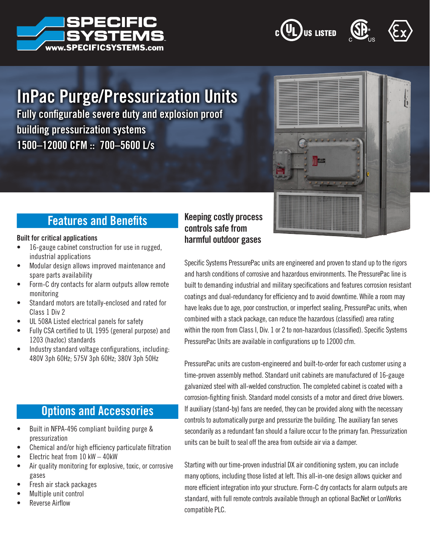







# InPac Purge/Pressurization Units

Fully configurable severe duty and explosion proof building pressurization systems 1500–12000 CFM :: 700–5600 L/s



## Features and Benefits

#### Built for critical applications

- 16-gauge cabinet construction for use in rugged, industrial applications
- Modular design allows improved maintenance and spare parts availability
- Form-C dry contacts for alarm outputs allow remote monitoring
- Standard motors are totally-enclosed and rated for Class 1 Div 2
- UL 508A Listed electrical panels for safety
- Fully CSA certified to UL 1995 (general purpose) and 1203 (hazloc) standards
- Industry standard voltage configurations, including: 480V 3ph 60Hz; 575V 3ph 60Hz; 380V 3ph 50Hz

## Options and Accessories

- Built in NFPA-496 compliant building purge & pressurization
- Chemical and/or high efficiency particulate filtration
- Electric heat from  $10$  kW  $-$  40kW
- Air quality monitoring for explosive, toxic, or corrosive gases
- Fresh air stack packages
- Multiple unit control
- Reverse Airflow

### Keeping costly process controls safe from harmful outdoor gases

Specific Systems PressurePac units are engineered and proven to stand up to the rigors and harsh conditions of corrosive and hazardous environments. The PressurePac line is built to demanding industrial and military specifications and features corrosion resistant coatings and dual-redundancy for efficiency and to avoid downtime. While a room may have leaks due to age, poor construction, or imperfect sealing, PressurePac units, when combined with a stack package, can reduce the hazardous (classified) area rating within the room from Class I, Div. 1 or 2 to non-hazardous (classified). Specific Systems PressurePac Units are available in configurations up to 12000 cfm.

PressurePac units are custom-engineered and built-to-order for each customer using a time-proven assembly method. Standard unit cabinets are manufactured of 16-gauge galvanized steel with all-welded construction. The completed cabinet is coated with a corrosion-fighting finish. Standard model consists of a motor and direct drive blowers. If auxiliary (stand-by) fans are needed, they can be provided along with the necessary controls to automatically purge and pressurize the building. The auxiliary fan serves secondarily as a redundant fan should a failure occur to the primary fan. Pressurization units can be built to seal off the area from outside air via a damper.

Starting with our time-proven industrial DX air conditioning system, you can include many options, including those listed at left. This all-in-one design allows quicker and more efficient integration into your structure. Form-C dry contacts for alarm outputs are standard, with full remote controls available through an optional BacNet or LonWorks compatible PLC.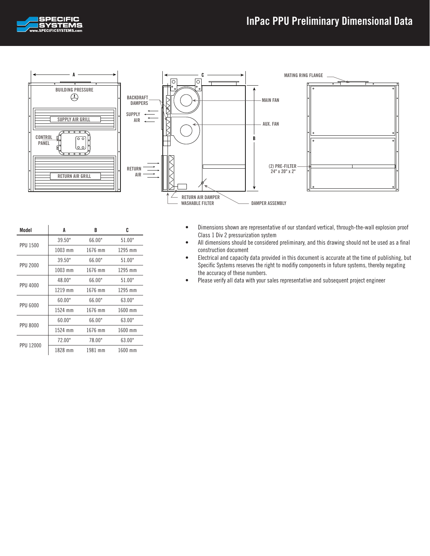



| Model           | A       | B       | C       |
|-----------------|---------|---------|---------|
| <b>PPU 1500</b> | 39.50"  | 66.00"  | 51.00"  |
|                 | 1003 mm | 1676 mm | 1295 mm |
| <b>PPU 2000</b> | 39.50"  | 66.00"  | 51.00"  |
|                 | 1003 mm | 1676 mm | 1295 mm |
| <b>PPU 4000</b> | 48.00"  | 66.00"  | 51.00"  |
|                 | 1219 mm | 1676 mm | 1295 mm |
|                 | 60.00"  | 66.00"  | 63.00"  |
| <b>PPU 6000</b> | 1524 mm | 1676 mm | 1600 mm |
| <b>PPU 8000</b> | 60.00"  | 66.00"  | 63.00"  |
|                 | 1524 mm | 1676 mm | 1600 mm |
| PPU 12000       | 72.00"  | 78.00"  | 63.00"  |
|                 | 1828 mm | 1981 mm | 1600 mm |

- Dimensions shown are representative of our standard vertical, through-the-wall explosion proof Class 1 Div 2 pressurization system
- All dimensions should be considered preliminary, and this drawing should not be used as a final construction document
- Electrical and capacity data provided in this document is accurate at the time of publishing, but Specific Systems reserves the right to modifiy components in future systems, thereby negating the accuracy of these numbers.
- Please verify all data with your sales representative and subsequent project engineer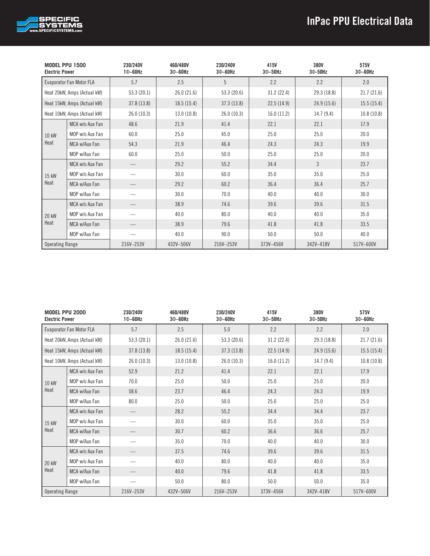

| <b>MODEL PPU 1500</b><br><b>Electric Power</b> |                             | 230/240V<br>$10-60$ Hz | 460/480V<br>$30 - 60$ Hz | 230/240V<br>$30 - 60$ Hz | 415V<br>$30 - 50$ Hz | 380V<br>30-50Hz | 575V<br>$30 - 60$ Hz |
|------------------------------------------------|-----------------------------|------------------------|--------------------------|--------------------------|----------------------|-----------------|----------------------|
|                                                | Evaporator Fan Motor FLA    | 5.7                    | 2.5                      | 5                        | 2.2                  | 2.2             | 2.0                  |
|                                                | Heat 20kW, Amps (Actual kW) | 53.3(20.1)             | 26.0(21.6)               | 53.3 (20.6)              | 31.2(22.4)           | 29.3 (18.8)     | 21.7(21.6)           |
|                                                | Heat 15kW, Amps (Actual kW) | 37.8 (13.8)            | 18.5(15.4)               | 37.3(13.8)               | 22.5(14.9)           | 24.9 (15.6)     | 15.5(15.4)           |
|                                                | Heat 10kW, Amps (Actual kW) | 26.0(10.3)             | 13.0 (10.8)              | 26.0(10.3)               | 16.0(11.2)           | 14.7(9.4)       | 10.8(10.8)           |
|                                                | MCA w/o Aux Fan             | 48.6                   | 21.9                     | 41.4                     | 22.1                 | 22.1            | 17.9                 |
| 10 kW                                          | MOP w/o Aux Fan             | 60.0                   | 25.0                     | 45.0                     | 25.0                 | 25.0            | 20.0                 |
| Heat                                           | MCA w/Aux Fan               | 54.3                   | 21.9                     | 46.4                     | 24.3                 | 24.3            | 19.9                 |
|                                                | MOP w/Aux Fan               | 60.0                   | 25.0                     | 50.0                     | 25.0                 | 25.0            | 20.0                 |
|                                                | MCA w/o Aux Fan             |                        | 29.2                     | 55.2                     | 34.4                 | 3               | 23.7                 |
| 15 kW                                          | MOP w/o Aux Fan             |                        | 30.0                     | 60.0                     | 35.0                 | 35.0            | 25.0                 |
| Heat                                           | MCA w/Aux Fan               |                        | 29.2                     | 60.2                     | 36.4                 | 36.4            | 25.7                 |
|                                                | MOP w/Aux Fan               |                        | 30.0                     | 70.0                     | 40.0                 | 40.0            | 30.0                 |
|                                                | MCA w/o Aux Fan             |                        | 38.9                     | 74.6                     | 39.6                 | 39.6            | 31.5                 |
| 20 kW                                          | MOP w/o Aux Fan             |                        | 40.0                     | 80.0                     | 40.0                 | 40.0            | 35.0                 |
| Heat                                           | MCA w/Aux Fan               |                        | 38.9                     | 79.6                     | 41.8                 | 41.8            | 33.5                 |
|                                                | MOP w/Aux Fan               |                        | 40.0                     | 90.0                     | 50.0                 | 50.0            | 40.0                 |
| <b>Operating Range</b>                         |                             | 216V-253V              | 432V-506V                | 216V-253V                | 373V-456V            | 342V-418V       | 517V-600V            |

| <b>MODEL PPU 2000</b><br><b>Electric Power</b> |                             | 230/240V<br>$10 - 60$ Hz | 460/480V<br>$30 - 60$ Hz | 230/240V<br>$30 - 60$ Hz | 415V<br>$30 - 50$ Hz | 380V<br>30-50Hz | 575V<br>$30 - 60$ Hz |
|------------------------------------------------|-----------------------------|--------------------------|--------------------------|--------------------------|----------------------|-----------------|----------------------|
|                                                | Evaporator Fan Motor FLA    | 5.7                      | 2.5                      | 5.0                      | 2.2                  | 2.2             | 2.0                  |
|                                                | Heat 20kW, Amps (Actual kW) | 53.3 (20.1)              | 26.0 (21.6)              | 53.3 (20.6)              | 31.2(22.4)           | 29.3 (18.8)     | 21.7(21.6)           |
|                                                | Heat 15kW, Amps (Actual kW) | 37.8 (13.8)              | 18.5(15.4)               | 37.3(13.8)               | 22.5(14.9)           | 24.9(15.6)      | 15.5(15.4)           |
|                                                | Heat 10kW, Amps (Actual kW) | 26.0 (10.3)              | 13.0(10.8)               | 26.0(10.3)               | 16.0(11.2)           | 14.7(9.4)       | 10.8(10.8)           |
|                                                | MCA w/o Aux Fan             | 52.9                     | 21.2                     | 41.4                     | 22.1                 | 22.1            | 17.9                 |
| 10 kW                                          | MOP w/o Aux Fan             | 70.0                     | 25.0                     | 50.0                     | 25.0                 | 25.0            | 20.0                 |
| Heat                                           | MCA w/Aux Fan               | 58.6                     | 23.7                     | 46.4                     | 24.3                 | 24.3            | 19.9                 |
|                                                | MOP w/Aux Fan               | 80.0                     | 25.0                     | 50.0                     | 25.0                 | 25.0            | 25.0                 |
|                                                | MCA w/o Aux Fan             |                          | 28.2                     | 55.2                     | 34.4                 | 34.4            | 23.7                 |
| 15 kW                                          | MOP w/o Aux Fan             |                          | 30.0                     | 60.0                     | 35.0                 | 35.0            | 25.0                 |
| Heat                                           | MCA w/Aux Fan               |                          | 30.7                     | 60.2                     | 36.6                 | 36.6            | 25.7                 |
|                                                | MOP w/Aux Fan               |                          | 35.0                     | 70.0                     | 40.0                 | 40.0            | 30.0                 |
|                                                | MCA w/o Aux Fan             |                          | 37.5                     | 74.6                     | 39.6                 | 39.6            | 31.5                 |
| 20 kW                                          | MOP w/o Aux Fan             |                          | 40.0                     | 80.0                     | 40.0                 | 40.0            | 35.0                 |
| Heat                                           | MCA w/Aux Fan               |                          | 40.0                     | 79.6                     | 41.8                 | 41.8            | 33.5                 |
|                                                | MOP w/Aux Fan               |                          | 50.0                     | 80.0                     | 50.0                 | 50.0            | 35.0                 |
| <b>Operating Range</b>                         |                             | 216V-253V                | 432V-506V                | 216V-253V                | 373V-456V            | 342V-418V       | 517V-600V            |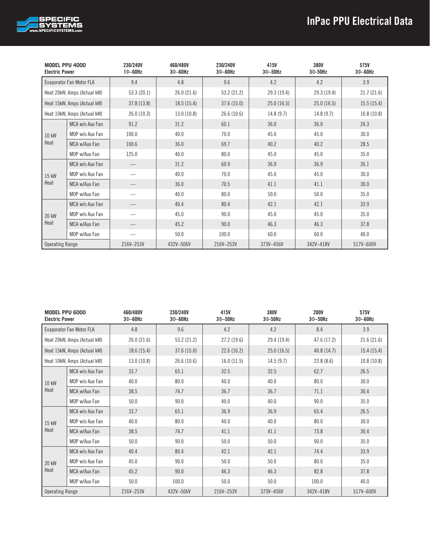

| <b>MODEL PPU 4000</b><br><b>Electric Power</b> |                             | 230/240V<br>$10-60$ Hz | 460/480V<br>$30 - 60$ Hz | 230/240V<br>$30 - 60$ Hz | 415V<br>$30 - 50$ Hz | 380V<br>$30-50$ Hz | 575V<br>$30 - 60$ Hz |
|------------------------------------------------|-----------------------------|------------------------|--------------------------|--------------------------|----------------------|--------------------|----------------------|
|                                                | Evaporator Fan Motor FLA    | 9.4                    | 4.8                      | 9.6                      | 4.2                  | 4.2                | 3.9                  |
|                                                | Heat 20kW, Amps (Actual kW) | 53.3(20.1)             | 26.0(21.6)               | 53.2 (21.2)              | 29.3 (19.4)          | 29.3 (19.4)        | 21.7(21.6)           |
|                                                | Heat 15kW, Amps (Actual kW) | 37.8 (13.8)            | 18.5(15.4)               | 37.6 (15.0)              | 25.0(16.5)           | 25.0(16.5)         | 15.5(15.4)           |
|                                                | Heat 10kW, Amps (Actual kW) | 26.0(10.3)             | 13.0(10.8)               | 26.6 (10.6)              | 14.8(9.7)            | 14.8(9.7)          | 10.8(10.8)           |
|                                                | MCA w/o Aux Fan             | 91.2                   | 31.2                     | 60.1                     | 36.0                 | 36.0               | 24.3                 |
| 10 kW                                          | MOP w/o Aux Fan             | 100.0                  | 40.0                     | 70.0                     | 45.0                 | 45.0               | 30.0                 |
| Heat                                           | MCA w/Aux Fan               | 100.6                  | 36.0                     | 69.7                     | 40.2                 | 40.2               | 28.5                 |
|                                                | MOP w/Aux Fan               | 125.0                  | 40.0                     | 80.0                     | 45.0                 | 45.0               | 35.0                 |
|                                                | MCA w/o Aux Fan             |                        | 31.2                     | 60.9                     | 36.9                 | 36.9               | 26.1                 |
| 15 kW                                          | MOP w/o Aux Fan             |                        | 40.0                     | 70.0                     | 45.0                 | 45.0               | 30.0                 |
| Heat                                           | MCA w/Aux Fan               |                        | 36.0                     | 70.5                     | 41.1                 | 41.1               | 30.0                 |
|                                                | MOP w/Aux Fan               |                        | 40.0                     | 80.0                     | 50.0                 | 50.0               | 35.0                 |
|                                                | MCA w/o Aux Fan             |                        | 40.4                     | 80.4                     | 42.1                 | 42.1               | 33.9                 |
| 20 kW                                          | MOP w/o Aux Fan             |                        | 45.0                     | 90.0                     | 45.0                 | 45.0               | 35.0                 |
| Heat                                           | MCA w/Aux Fan               |                        | 45.2                     | 90.0                     | 46.3                 | 46.3               | 37.8                 |
|                                                | MOP w/Aux Fan               |                        | 50.0                     | 100.0                    | 60.0                 | 60.0               | 40.0                 |
| <b>Operating Range</b>                         |                             | 216V-253V              | 432V-506V                | 216V-253V                | 373V-456V            | 342V-418V          | 517V-600V            |

| MODEL PPU 6000<br><b>Electric Power</b> |                             | 460/480V<br>$30 - 60$ Hz | 230/240V<br>$30 - 60$ Hz | 415V<br>$30 - 50$ Hz | 380V<br>$30-50$ Hz | <b>200V</b><br>$30 - 50$ Hz | 575V<br>$30 - 60$ Hz |
|-----------------------------------------|-----------------------------|--------------------------|--------------------------|----------------------|--------------------|-----------------------------|----------------------|
|                                         | Evaporator Fan Motor FLA    | 4.8                      | 9.6                      | 4.2                  | 4.2                | 8.4                         | 3.9                  |
|                                         | Heat 20kW, Amps (Actual kW) | 26.0(21.6)               | 53.2 (21.2)              | 27.2 (19.6)          | 29.4 (19.4)        | 47.6 (17.2)                 | 21.6(21.6)           |
|                                         | Heat 15kW, Amps (Actual kW) | 18.6(15.4)               | 37.6(15.0)               | 22.6(16.2)           | 25.0(16.5)         | 40.8(14.7)                  | 15.4(15.4)           |
|                                         | Heat 10kW, Amps (Actual kW) | 13.0(10.8)               | 26.6 (10.6)              | 16.0(11.5)           | 14.5(9.7)          | 23.8(8.6)                   | 10.8(10.8)           |
|                                         | MCA w/o Aux Fan             | 33.7                     | 65.1                     | 32.5                 | 32.5               | 62.7                        | 26.5                 |
| 10 kW                                   | MOP w/o Aux Fan             | 40.0                     | 80.0                     | 40.0                 | 40.0               | 80.0                        | 30.0                 |
| Heat                                    | MCA w/Aux Fan               | 38.5                     | 74.7                     | 36.7                 | 36.7               | 71.1                        | 30.4                 |
|                                         | MOP w/Aux Fan               | 50.0                     | 90.0                     | 40.0                 | 40.0               | 90.0                        | 35.0                 |
|                                         | MCA w/o Aux Fan             | 33.7                     | 65.1                     | 36.9                 | 36.9               | 65.4                        | 26.5                 |
| 15 kW                                   | MOP w/o Aux Fan             | 40.0                     | 80.0                     | 40.0                 | 40.0               | 80.0                        | 30.0                 |
| Heat                                    | MCA w/Aux Fan               | 38.5                     | 74.7                     | 41.1                 | 41.1               | 73.8                        | 30.4                 |
|                                         | MOP w/Aux Fan               | 50.0                     | 90.0                     | 50.0                 | 50.0               | 90.0                        | 35.0                 |
|                                         | MCA w/o Aux Fan             | 40.4                     | 80.4                     | 42.1                 | 42.1               | 74.4                        | 33.9                 |
| 20 kW                                   | MOP w/o Aux Fan             | 45.0                     | 90.0                     | 50.0                 | 50.0               | 80.0                        | 35.0                 |
| Heat                                    | MCA w/Aux Fan               | 45.2                     | 90.0                     | 46.3                 | 46.3               | 82.8                        | 37.8                 |
|                                         | MOP w/Aux Fan               | 50.0                     | 100.0                    | 50.0                 | 50.0               | 100.0                       | 40.0                 |
| <b>Operating Range</b>                  |                             | 216V-253V                | 432V-506V                | 216V-253V            | 373V-456V          | 342V-418V                   | 517V-600V            |